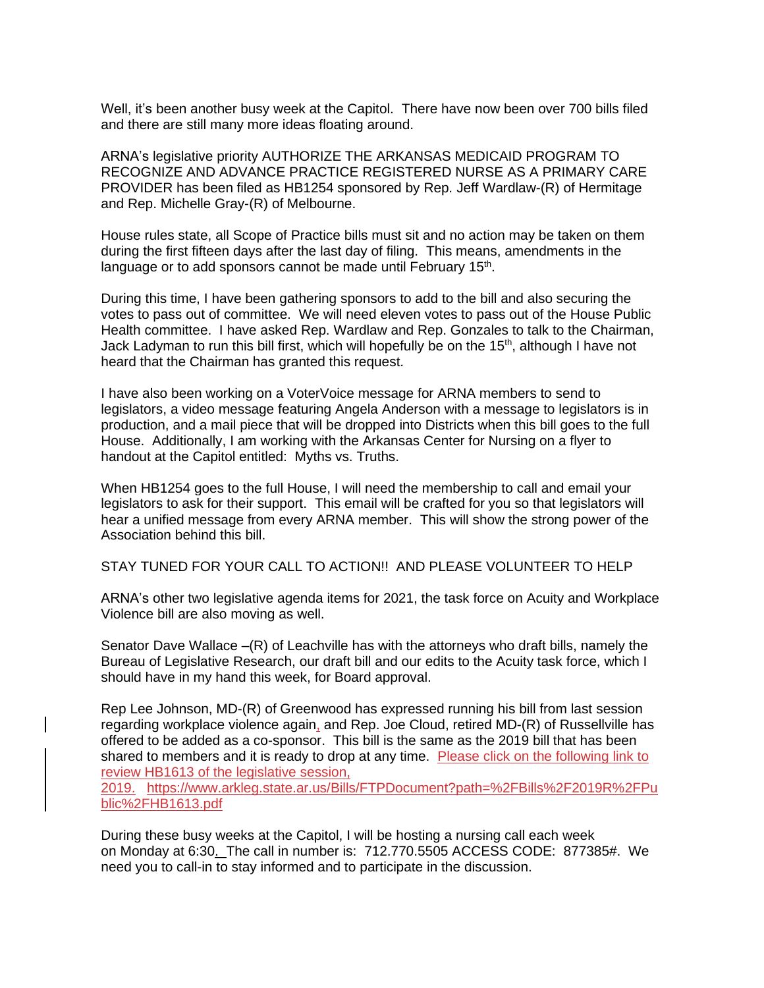Well, it's been another busy week at the Capitol. There have now been over 700 bills filed and there are still many more ideas floating around.

ARNA's legislative priority AUTHORIZE THE ARKANSAS MEDICAID PROGRAM TO RECOGNIZE AND ADVANCE PRACTICE REGISTERED NURSE AS A PRIMARY CARE PROVIDER has been filed as HB1254 sponsored by Rep. Jeff Wardlaw-(R) of Hermitage and Rep. Michelle Gray-(R) of Melbourne.

House rules state, all Scope of Practice bills must sit and no action may be taken on them during the first fifteen days after the last day of filing. This means, amendments in the language or to add sponsors cannot be made until February 15<sup>th</sup>.

During this time, I have been gathering sponsors to add to the bill and also securing the votes to pass out of committee. We will need eleven votes to pass out of the House Public Health committee. I have asked Rep. Wardlaw and Rep. Gonzales to talk to the Chairman, Jack Ladyman to run this bill first, which will hopefully be on the 15<sup>th</sup>, although I have not heard that the Chairman has granted this request.

I have also been working on a VoterVoice message for ARNA members to send to legislators, a video message featuring Angela Anderson with a message to legislators is in production, and a mail piece that will be dropped into Districts when this bill goes to the full House. Additionally, I am working with the Arkansas Center for Nursing on a flyer to handout at the Capitol entitled: Myths vs. Truths.

When HB1254 goes to the full House, I will need the membership to call and email your legislators to ask for their support. This email will be crafted for you so that legislators will hear a unified message from every ARNA member. This will show the strong power of the Association behind this bill.

STAY TUNED FOR YOUR CALL TO ACTION!! AND PLEASE VOLUNTEER TO HELP

ARNA's other two legislative agenda items for 2021, the task force on Acuity and Workplace Violence bill are also moving as well.

Senator Dave Wallace –(R) of Leachville has with the attorneys who draft bills, namely the Bureau of Legislative Research, our draft bill and our edits to the Acuity task force, which I should have in my hand this week, for Board approval.

Rep Lee Johnson, MD-(R) of Greenwood has expressed running his bill from last session regarding workplace violence again, and Rep. Joe Cloud, retired MD-(R) of Russellville has offered to be added as a co-sponsor. This bill is the same as the 2019 bill that has been shared to members and it is ready to drop at any time. Please click on the following link to review HB1613 of the legislative session,

2019. [https://www.arkleg.state.ar.us/Bills/FTPDocument?path=%2FBills%2F2019R%2FPu](https://www.arkleg.state.ar.us/Bills/FTPDocument?path=%2FBills%2F2019R%2FPublic%2FHB1613.pdf) [blic%2FHB1613.pdf](https://www.arkleg.state.ar.us/Bills/FTPDocument?path=%2FBills%2F2019R%2FPublic%2FHB1613.pdf)

During these busy weeks at the Capitol, I will be hosting a nursing call each week on Monday at 6:30. The call in number is: 712.770.5505 ACCESS CODE: 877385#. We need you to call-in to stay informed and to participate in the discussion.